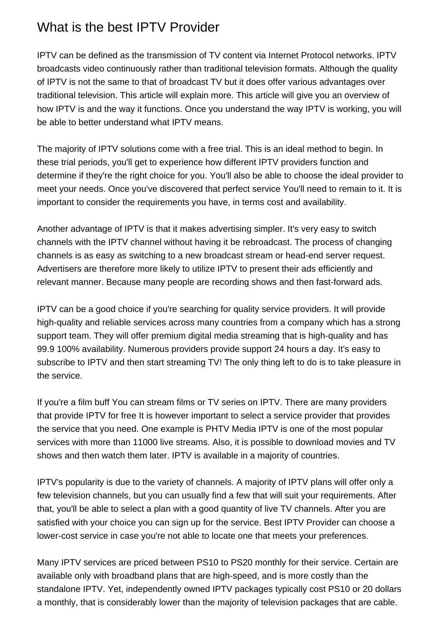## What is the best IPTV Provider

IPTV can be defined as the transmission of TV content via Internet Protocol networks. IPTV broadcasts video continuously rather than traditional television formats. Although the quality of IPTV is not the same to that of broadcast TV but it does offer various advantages over traditional television. This article will explain more. This article will give you an overview of how IPTV is and the way it functions. Once you understand the way IPTV is working, you will be able to better understand what IPTV means.

The majority of IPTV solutions come with a free trial. This is an ideal method to begin. In these trial periods, you'll get to experience how different IPTV providers function and determine if they're the right choice for you. You'll also be able to choose the ideal provider to meet your needs. Once you've discovered that perfect service You'll need to remain to it. It is important to consider the requirements you have, in terms cost and availability.

Another advantage of IPTV is that it makes advertising simpler. It's very easy to switch channels with the IPTV channel without having it be rebroadcast. The process of changing channels is as easy as switching to a new broadcast stream or head-end server request. Advertisers are therefore more likely to utilize IPTV to present their ads efficiently and relevant manner. Because many people are recording shows and then fast-forward ads.

IPTV can be a good choice if you're searching for quality service providers. It will provide high-quality and reliable services across many countries from a company which has a strong support team. They will offer premium digital media streaming that is high-quality and has 99.9 100% availability. Numerous providers provide support 24 hours a day. It's easy to subscribe to IPTV and then start streaming TV! The only thing left to do is to take pleasure in the service.

If you're a film buff You can stream films or TV series on IPTV. There are many providers that provide IPTV for free It is however important to select a service provider that provides the service that you need. One example is PHTV Media IPTV is one of the most popular services with more than 11000 live streams. Also, it is possible to download movies and TV shows and then watch them later. IPTV is available in a majority of countries.

IPTV's popularity is due to the variety of channels. A majority of IPTV plans will offer only a few television channels, but you can usually find a few that will suit your requirements. After that, you'll be able to select a plan with a good quantity of live TV channels. After you are satisfied with your choice you can sign up for the service. [Best IPTV Provider](https://phtvmedia.com/iptv-android) can choose a lower-cost service in case you're not able to locate one that meets your preferences.

Many IPTV services are priced between PS10 to PS20 monthly for their service. Certain are available only with broadband plans that are high-speed, and is more costly than the standalone IPTV. Yet, independently owned IPTV packages typically cost PS10 or 20 dollars a monthly, that is considerably lower than the majority of television packages that are cable.